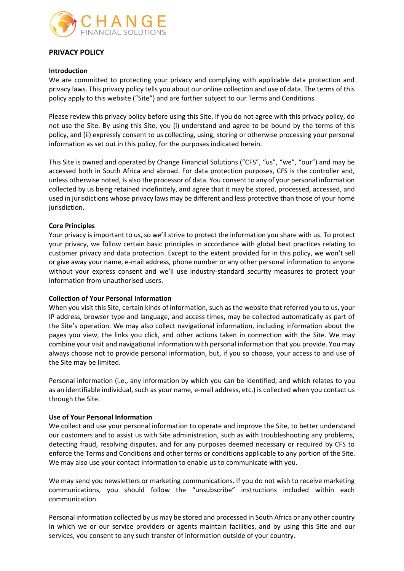

## **PRIVACY POLICY**

### **Introduction**

We are committed to protecting your privacy and complying with applicable data protection and privacy laws. This privacy policy tells you about our online collection and use of data. The terms of this policy apply to this website ("Site") and are further subject to our Terms and Conditions.

Please review this privacy policy before using this Site. If you do not agree with this privacy policy, do not use the Site. By using this Site, you (i) understand and agree to be bound by the terms of this policy, and (ii) expressly consent to us collecting, using, storing or otherwise processing your personal information as set out in this policy, for the purposes indicated herein.

This Site is owned and operated by Change Financial Solutions ("CFS", "us", "we", "our") and may be accessed both in South Africa and abroad. For data protection purposes, CFS is the controller and, unless otherwise noted, is also the processor of data. You consent to any of your personal information collected by us being retained indefinitely, and agree that it may be stored, processed, accessed, and used in jurisdictions whose privacy laws may be different and less protective than those of your home jurisdiction.

## **Core Principles**

Your privacy is important to us, so we'll strive to protect the information you share with us. To protect your privacy, we follow certain basic principles in accordance with global best practices relating to customer privacy and data protection. Except to the extent provided for in this policy, we won't sell or give away your name, e-mail address, phone number or any other personal information to anyone without your express consent and we'll use industry-standard security measures to protect your information from unauthorised users.

## **Collection of Your Personal Information**

When you visit this Site, certain kinds of information, such as the website that referred you to us, your IP address, browser type and language, and access times, may be collected automatically as part of the Site's operation. We may also collect navigational information, including information about the pages you view, the links you click, and other actions taken in connection with the Site. We may combine your visit and navigational information with personal information that you provide. You may always choose not to provide personal information, but, if you so choose, your access to and use of the Site may be limited.

Personal information (i.e., any information by which you can be identified, and which relates to you as an identifiable individual, such as your name, e-mail address, etc.) is collected when you contact us through the Site.

## **Use of Your Personal Information**

We collect and use your personal information to operate and improve the Site, to better understand our customers and to assist us with Site administration, such as with troubleshooting any problems, detecting fraud, resolving disputes, and for any purposes deemed necessary or required by CFS to enforce the Terms and Conditions and other terms or conditions applicable to any portion of the Site. We may also use your contact information to enable us to communicate with you.

We may send you newsletters or marketing communications. If you do not wish to receive marketing communications, you should follow the "unsubscribe" instructions included within each communication.

Personal information collected by us may be stored and processed in South Africa or any other country in which we or our service providers or agents maintain facilities, and by using this Site and our services, you consent to any such transfer of information outside of your country.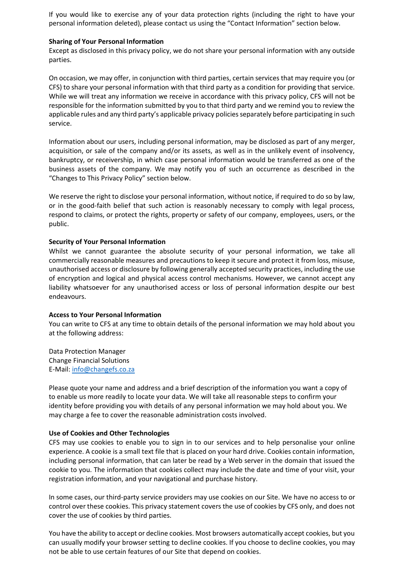If you would like to exercise any of your data protection rights (including the right to have your personal information deleted), please contact us using the "Contact Information" section below.

### **Sharing of Your Personal Information**

Except as disclosed in this privacy policy, we do not share your personal information with any outside parties.

On occasion, we may offer, in conjunction with third parties, certain services that may require you (or CFS) to share your personal information with that third party as a condition for providing that service. While we will treat any information we receive in accordance with this privacy policy, CFS will not be responsible for the information submitted by you to that third party and we remind you to review the applicable rules and any third party's applicable privacy policies separately before participating in such service.

Information about our users, including personal information, may be disclosed as part of any merger, acquisition, or sale of the company and/or its assets, as well as in the unlikely event of insolvency, bankruptcy, or receivership, in which case personal information would be transferred as one of the business assets of the company. We may notify you of such an occurrence as described in the "Changes to This Privacy Policy" section below.

We reserve the right to disclose your personal information, without notice, if required to do so by law, or in the good-faith belief that such action is reasonably necessary to comply with legal process, respond to claims, or protect the rights, property or safety of our company, employees, users, or the public.

### **Security of Your Personal Information**

Whilst we cannot guarantee the absolute security of your personal information, we take all commercially reasonable measures and precautions to keep it secure and protect it from loss, misuse, unauthorised access or disclosure by following generally accepted security practices, including the use of encryption and logical and physical access control mechanisms. However, we cannot accept any liability whatsoever for any unauthorised access or loss of personal information despite our best endeavours.

#### **Access to Your Personal Information**

You can write to CFS at any time to obtain details of the personal information we may hold about you at the following address:

Data Protection Manager Change Financial Solutions E-Mail: [info@changefs.co.za](mailto:info@changefs.co.za)

Please quote your name and address and a brief description of the information you want a copy of to enable us more readily to locate your data. We will take all reasonable steps to confirm your identity before providing you with details of any personal information we may hold about you. We may charge a fee to cover the reasonable administration costs involved.

#### **Use of Cookies and Other Technologies**

CFS may use cookies to enable you to sign in to our services and to help personalise your online experience. A cookie is a small text file that is placed on your hard drive. Cookies contain information, including personal information, that can later be read by a Web server in the domain that issued the cookie to you. The information that cookies collect may include the date and time of your visit, your registration information, and your navigational and purchase history.

In some cases, our third-party service providers may use cookies on our Site. We have no access to or control over these cookies. This privacy statement covers the use of cookies by CFS only, and does not cover the use of cookies by third parties.

You have the ability to accept or decline cookies. Most browsers automatically accept cookies, but you can usually modify your browser setting to decline cookies. If you choose to decline cookies, you may not be able to use certain features of our Site that depend on cookies.